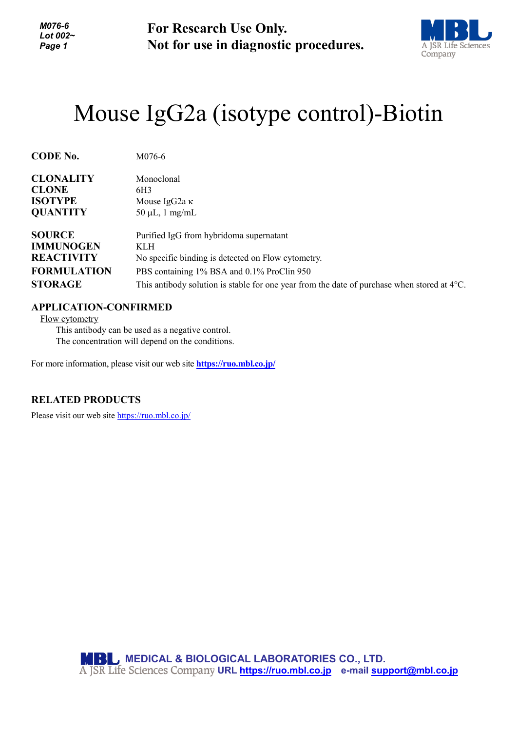*M076-6 Lot 002~ Page 1*

**For Research Use Only. Not for use in diagnostic procedures.**



## Mouse IgG2a (isotype control)-Biotin

| <b>CODE No.</b>    | M076-6                                                                                                |
|--------------------|-------------------------------------------------------------------------------------------------------|
| <b>CLONALITY</b>   | Monoclonal                                                                                            |
| <b>CLONE</b>       | 6H3                                                                                                   |
| <b>ISOTYPE</b>     | Mouse IgG2a $\kappa$                                                                                  |
| <b>QUANTITY</b>    | $50 \mu L$ , 1 mg/mL                                                                                  |
| <b>SOURCE</b>      | Purified IgG from hybridoma supernatant                                                               |
| <b>IMMUNOGEN</b>   | <b>KLH</b>                                                                                            |
| <b>REACTIVITY</b>  | No specific binding is detected on Flow cytometry.                                                    |
| <b>FORMULATION</b> | PBS containing 1% BSA and 0.1% ProClin 950                                                            |
| <b>STORAGE</b>     | This antibody solution is stable for one year from the date of purchase when stored at $4^{\circ}$ C. |

## **APPLICATION-CONFIRMED**

Flow cytometry

This antibody can be used as a negative control. The concentration will depend on the conditions.

For more information, please visit our web site **<https://ruo.mbl.co.jp/>**

## **RELATED PRODUCTS**

Please visit our web site<https://ruo.mbl.co.jp/>